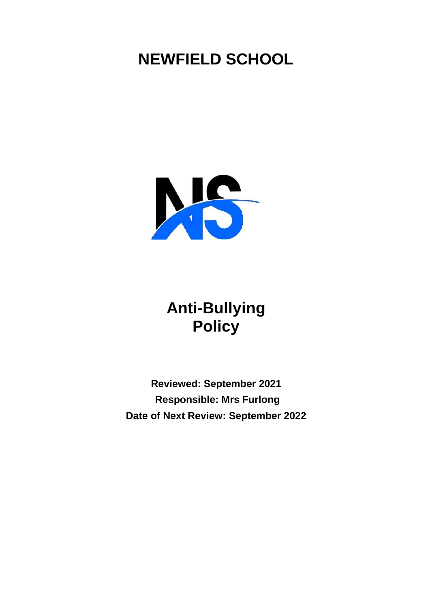# **NEWFIELD SCHOOL**



## **Anti-Bullying Policy**

**Reviewed: September 2021 Responsible: Mrs Furlong Date of Next Review: September 2022**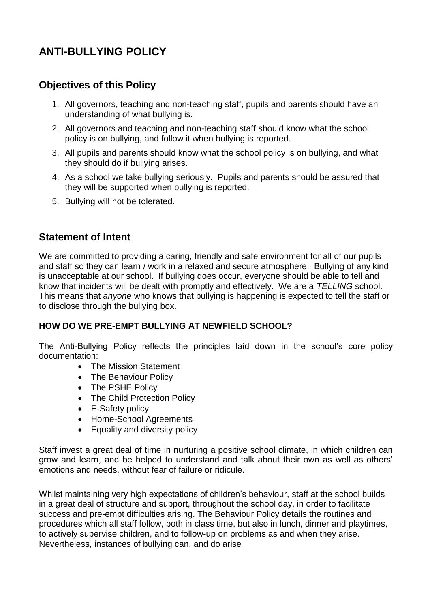## **ANTI-BULLYING POLICY**

## **Objectives of this Policy**

- 1. All governors, teaching and non-teaching staff, pupils and parents should have an understanding of what bullying is.
- 2. All governors and teaching and non-teaching staff should know what the school policy is on bullying, and follow it when bullying is reported.
- 3. All pupils and parents should know what the school policy is on bullying, and what they should do if bullying arises.
- 4. As a school we take bullying seriously. Pupils and parents should be assured that they will be supported when bullying is reported.
- 5. Bullying will not be tolerated.

## **Statement of Intent**

We are committed to providing a caring, friendly and safe environment for all of our pupils and staff so they can learn / work in a relaxed and secure atmosphere. Bullying of any kind is unacceptable at our school. If bullying does occur, everyone should be able to tell and know that incidents will be dealt with promptly and effectively. We are a *TELLING* school. This means that *anyone* who knows that bullying is happening is expected to tell the staff or to disclose through the bullying box.

### **HOW DO WE PRE-EMPT BULLYING AT NEWFIELD SCHOOL?**

The Anti-Bullying Policy reflects the principles laid down in the school's core policy documentation:

- The Mission Statement
- The Behaviour Policy
- The PSHE Policy
- The Child Protection Policy
- E-Safety policy
- Home-School Agreements
- Equality and diversity policy

Staff invest a great deal of time in nurturing a positive school climate, in which children can grow and learn, and be helped to understand and talk about their own as well as others' emotions and needs, without fear of failure or ridicule.

Whilst maintaining very high expectations of children's behaviour, staff at the school builds in a great deal of structure and support, throughout the school day, in order to facilitate success and pre-empt difficulties arising. The Behaviour Policy details the routines and procedures which all staff follow, both in class time, but also in lunch, dinner and playtimes, to actively supervise children, and to follow-up on problems as and when they arise. Nevertheless, instances of bullying can, and do arise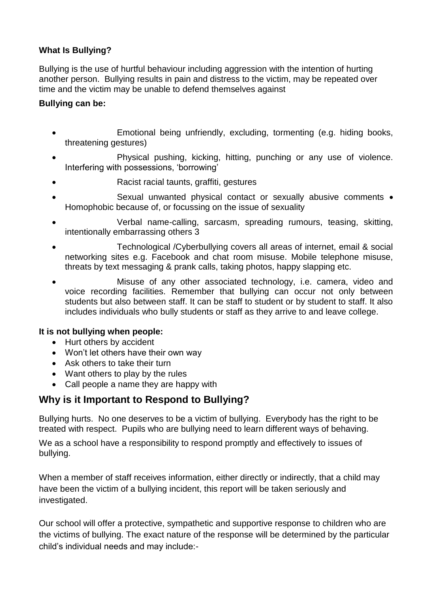## **What Is Bullying?**

Bullying is the use of hurtful behaviour including aggression with the intention of hurting another person. Bullying results in pain and distress to the victim, may be repeated over time and the victim may be unable to defend themselves against

#### **Bullying can be:**

- Emotional being unfriendly, excluding, tormenting (e.g. hiding books, threatening gestures)
- Physical pushing, kicking, hitting, punching or any use of violence. Interfering with possessions, 'borrowing'
- Racist racial taunts, graffiti, gestures
- Sexual unwanted physical contact or sexually abusive comments . Homophobic because of, or focussing on the issue of sexuality
- Verbal name-calling, sarcasm, spreading rumours, teasing, skitting, intentionally embarrassing others 3
- Technological /Cyberbullying covers all areas of internet, email & social networking sites e.g. Facebook and chat room misuse. Mobile telephone misuse, threats by text messaging & prank calls, taking photos, happy slapping etc.
- Misuse of any other associated technology, i.e. camera, video and voice recording facilities. Remember that bullying can occur not only between students but also between staff. It can be staff to student or by student to staff. It also includes individuals who bully students or staff as they arrive to and leave college.

### **It is not bullying when people:**

- Hurt others by accident
- Won't let others have their own way
- Ask others to take their turn
- Want others to play by the rules
- Call people a name they are happy with

## **Why is it Important to Respond to Bullying?**

Bullying hurts. No one deserves to be a victim of bullying. Everybody has the right to be treated with respect. Pupils who are bullying need to learn different ways of behaving.

We as a school have a responsibility to respond promptly and effectively to issues of bullying.

When a member of staff receives information, either directly or indirectly, that a child may have been the victim of a bullying incident, this report will be taken seriously and investigated.

Our school will offer a protective, sympathetic and supportive response to children who are the victims of bullying. The exact nature of the response will be determined by the particular child's individual needs and may include:-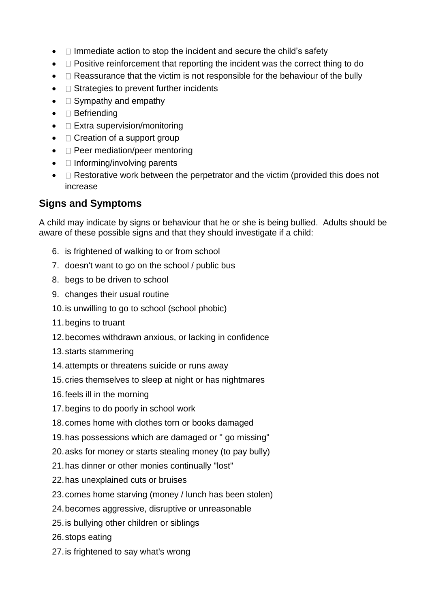- $\bullet$   $\Box$  Immediate action to stop the incident and secure the child's safety
- $\bullet$   $\Box$  Positive reinforcement that reporting the incident was the correct thing to do
- $\bullet$   $\Box$  Reassurance that the victim is not responsible for the behaviour of the bully
- $\bullet$   $\Box$  Strategies to prevent further incidents
- $\bullet$   $\square$  Sympathy and empathy
- $\bullet$   $\Box$  Befriending
- $\bullet$   $\square$  Extra supervision/monitoring
- $\bullet$   $\Box$  Creation of a support group
- $\bullet$   $\square$  Peer mediation/peer mentoring
- $\bullet$   $\Box$  Informing/involving parents
- $\Box$  Restorative work between the perpetrator and the victim (provided this does not increase

## **Signs and Symptoms**

A child may indicate by signs or behaviour that he or she is being bullied. Adults should be aware of these possible signs and that they should investigate if a child:

- 6. is frightened of walking to or from school
- 7. doesn't want to go on the school / public bus
- 8. begs to be driven to school
- 9. changes their usual routine
- 10.is unwilling to go to school (school phobic)
- 11.begins to truant
- 12.becomes withdrawn anxious, or lacking in confidence
- 13.starts stammering
- 14.attempts or threatens suicide or runs away
- 15.cries themselves to sleep at night or has nightmares
- 16.feels ill in the morning
- 17.begins to do poorly in school work
- 18.comes home with clothes torn or books damaged
- 19.has possessions which are damaged or " go missing"
- 20.asks for money or starts stealing money (to pay bully)
- 21.has dinner or other monies continually "lost"
- 22.has unexplained cuts or bruises
- 23.comes home starving (money / lunch has been stolen)
- 24.becomes aggressive, disruptive or unreasonable
- 25.is bullying other children or siblings
- 26.stops eating
- 27.is frightened to say what's wrong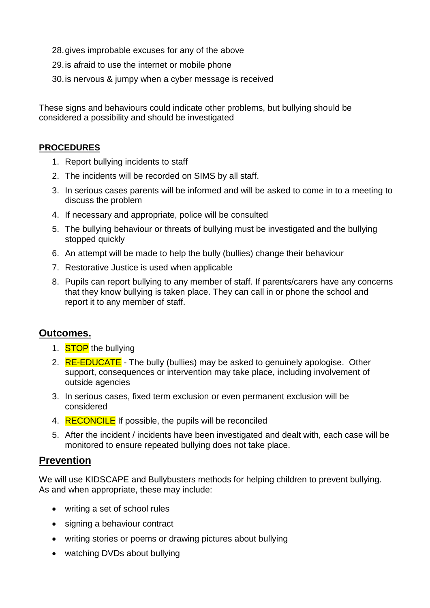- 28.gives improbable excuses for any of the above
- 29.is afraid to use the internet or mobile phone
- 30.is nervous & jumpy when a cyber message is received

These signs and behaviours could indicate other problems, but bullying should be considered a possibility and should be investigated

#### **PROCEDURES**

- 1. Report bullying incidents to staff
- 2. The incidents will be recorded on SIMS by all staff.
- 3. In serious cases parents will be informed and will be asked to come in to a meeting to discuss the problem
- 4. If necessary and appropriate, police will be consulted
- 5. The bullying behaviour or threats of bullying must be investigated and the bullying stopped quickly
- 6. An attempt will be made to help the bully (bullies) change their behaviour
- 7. Restorative Justice is used when applicable
- 8. Pupils can report bullying to any member of staff. If parents/carers have any concerns that they know bullying is taken place. They can call in or phone the school and report it to any member of staff.

## **Outcomes.**

- 1. **STOP** the bullying
- 2. RE-EDUCATE The bully (bullies) may be asked to genuinely apologise. Other support, consequences or intervention may take place, including involvement of outside agencies
- 3. In serious cases, fixed term exclusion or even permanent exclusion will be considered
- 4. RECONCILE If possible, the pupils will be reconciled
- 5. After the incident / incidents have been investigated and dealt with, each case will be monitored to ensure repeated bullying does not take place.

## **Prevention**

We will use KIDSCAPE and Bullybusters methods for helping children to prevent bullying. As and when appropriate, these may include:

- writing a set of school rules
- signing a behaviour contract
- writing stories or poems or drawing pictures about bullying
- watching DVDs about bullying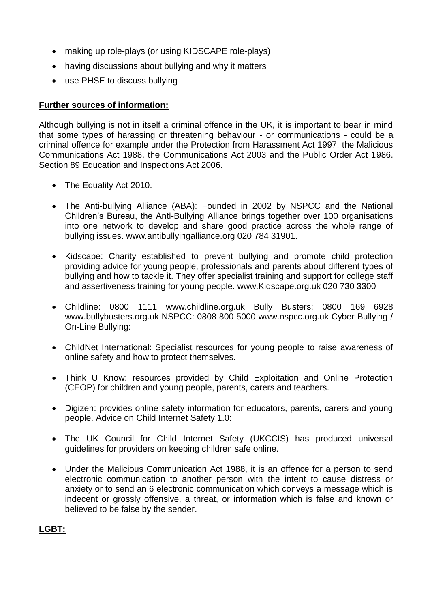- making up role-plays (or using KIDSCAPE role-plays)
- having discussions about bullying and why it matters
- use PHSE to discuss bullying

#### **Further sources of information:**

Although bullying is not in itself a criminal offence in the UK, it is important to bear in mind that some types of harassing or threatening behaviour - or communications - could be a criminal offence for example under the Protection from Harassment Act 1997, the Malicious Communications Act 1988, the Communications Act 2003 and the Public Order Act 1986. Section 89 Education and Inspections Act 2006.

- The Equality Act 2010.
- The Anti-bullying Alliance (ABA): Founded in 2002 by NSPCC and the National Children's Bureau, the Anti-Bullying Alliance brings together over 100 organisations into one network to develop and share good practice across the whole range of bullying issues. www.antibullyingalliance.org 020 784 31901.
- Kidscape: Charity established to prevent bullying and promote child protection providing advice for young people, professionals and parents about different types of bullying and how to tackle it. They offer specialist training and support for college staff and assertiveness training for young people. www.Kidscape.org.uk 020 730 3300
- Childline: 0800 1111 www.childline.org.uk Bully Busters: 0800 169 6928 www.bullybusters.org.uk NSPCC: 0808 800 5000 www.nspcc.org.uk Cyber Bullying / On-Line Bullying:
- ChildNet International: Specialist resources for young people to raise awareness of online safety and how to protect themselves.
- Think U Know: resources provided by Child Exploitation and Online Protection (CEOP) for children and young people, parents, carers and teachers.
- Digizen: provides online safety information for educators, parents, carers and young people. Advice on Child Internet Safety 1.0:
- The UK Council for Child Internet Safety (UKCCIS) has produced universal guidelines for providers on keeping children safe online.
- Under the Malicious Communication Act 1988, it is an offence for a person to send electronic communication to another person with the intent to cause distress or anxiety or to send an 6 electronic communication which conveys a message which is indecent or grossly offensive, a threat, or information which is false and known or believed to be false by the sender.

### **LGBT:**